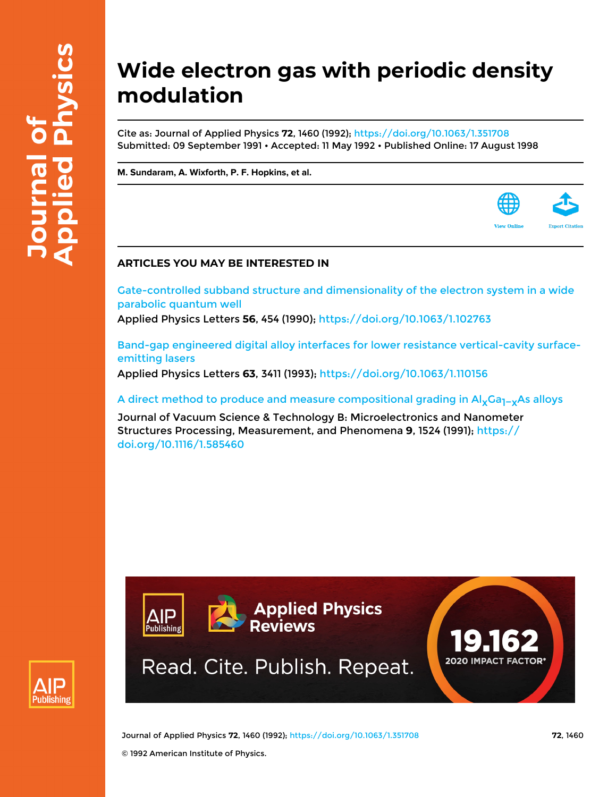# **Wide electron gas with periodic density modulation**

Cite as: Journal of Applied Physics **72**, 1460 (1992); <https://doi.org/10.1063/1.351708> Submitted: 09 September 1991 • Accepted: 11 May 1992 • Published Online: 17 August 1998

**[M. Sundaram](https://aip.scitation.org/author/Sundaram%2C+M), [A. Wixforth](https://aip.scitation.org/author/Wixforth%2C+A), [P. F. Hopkins](https://aip.scitation.org/author/Hopkins%2C+P+F), et al.**



# **ARTICLES YOU MAY BE INTERESTED IN**

[Gate-controlled subband structure and dimensionality of the electron system in a wide](https://aip.scitation.org/doi/10.1063/1.102763) [parabolic quantum well](https://aip.scitation.org/doi/10.1063/1.102763)

Applied Physics Letters **56**, 454 (1990); <https://doi.org/10.1063/1.102763>

[Band-gap engineered digital alloy interfaces for lower resistance vertical-cavity surface](https://aip.scitation.org/doi/10.1063/1.110156)[emitting lasers](https://aip.scitation.org/doi/10.1063/1.110156)

Applied Physics Letters **63**, 3411 (1993); <https://doi.org/10.1063/1.110156>

A direct method to produce and measure compositional grading in Al<sub>x</sub>Ga<sub>1</sub>–<sub>x</sub>As alloys

Journal of Vacuum Science & Technology B: Microelectronics and Nanometer Structures Processing, Measurement, and Phenomena **9**, 1524 (1991); [https://](https://doi.org/10.1116/1.585460) [doi.org/10.1116/1.585460](https://doi.org/10.1116/1.585460)





Journal of Applied Physics **72**, 1460 (1992); <https://doi.org/10.1063/1.351708> **72**, 1460 © 1992 American Institute of Physics.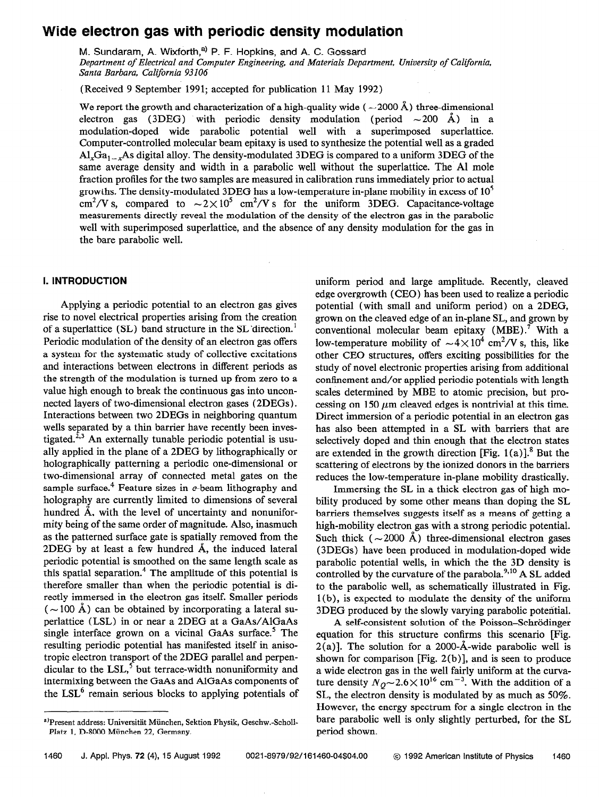# Wide electron gas with periodic density modulation

M. Sundaram, A. Wixforth,<sup>a)</sup> P. F. Hopkins, and A. C. Gossard Department of Electrical and Computer Engineering, and Materials Department, University of California, Santa Barbara, California 93106

(Received 9 September 1991; accepted for publication 11 May 1992)

We report the growth and characterization of a high-quality wide ( $\sim$ 2000 Å) three-dimensional electron gas (3DEG) with periodic density modulation (period  $\sim$  200 Å) in a modulation-doped wide parabolic potential well with a superimposed superlattice. Computer-controlled molecular beam epitaxy is used to synthesize the potential well as a graded  $\text{Al}_x\text{Ga}_{1-x}$ As digital alloy. The density-modulated 3DEG is compared to a uniform 3DEG of the same average density and width in a parabolic well without the superlattice. The Al mole fraction profiles for the two samples are measured in calibration runs immediately prior to actual growths. The density-modulated 3DEG has a low-temperature in-plane mobility in excess of  $10<sup>5</sup>$ cm<sup>2</sup>/V s, compared to  $\sim 2 \times 10^5$  cm<sup>2</sup>/V s for the uniform 3DEG. Capacitance-voltage measurements directly reveal the modulation of the density of the electron gas in the parabolic well with superimposed superlattice, and the absence of any density modulation for the gas in the bare parabolic well.

## I. INTRODUCTION

Applying a periodic potential to an electron gas gives rise to novel electrical properties arising from the creation of a superlattice (SL) band structure in the SL'direction.' Periodic modulation of the density of an electron gas offers a system for the systematic study of collective excitations and interactions between electrons in different periods as the strength of the modulation is turned up from zero to a value high enough to break the continuous gas into unconnected layers of two-dimensional electron gases (2DEGs). Interactions between two 2DEGs in neighboring quantum wells separated by a thin barrier have recently been investigated.<sup>2,3</sup> An externally tunable periodic potential is usually applied in the plane of a 2DEG by lithographically or holographically patterning a periodic one-dimensional or two-dimensional array of connected metal gates on the sample surface.<sup>4</sup> Feature sizes in  $e$ -beam lithography and holography are currently limited to dimensions of several hundred A, with the level of uncertainty and nonuniformity being of the same order of magnitude. Also, inasmuch as the patterned surface gate is spatially removed from the 2DEG by at least a few hundred A, the induced lateral periodic potential is smoothed on the same length scale as this spatial separation.4 The amplitude of this potential is therefore smaller than when the periodic potential is directly immersed in the electron gas itself. Smaller periods  $({\sim}100 \text{ Å})$  can be obtained by incorporating a lateral superlattice (LSL) in or near a 2DEG at a GaAs/AlGaAs single interface grown on a vicinal GaAs surface.<sup>5</sup> The resulting periodic potential has manifested itself in anisotropic electron transport of the 2DEG parallel and perpendicular to the LSL, $^{5}$  but terrace-width nonuniformity and intermixing between the GaAs and AlGaAs components of the  $LSL<sup>6</sup>$  remain serious blocks to applying potentials of uniform period and large amplitude. Recently, cleaved edge overgrowth (CEO) has been used to realize a periodic potential (with small and uniform period) on a 2DEG, grown on the cleaved edge of an in-plane SL, and grown by conventional molecular beam epitaxy (MBE).' With a low-temperature mobility of  $\sim 4 \times 10^4$  cm<sup>2</sup>/V s, this, like other CEO structures, offers exciting possibilities for the study of novel electronic properties arising from additional confinement and/or applied periodic potentials with length scales determined by MBE to atomic precision, but processing on 150  $\mu$ m cleaved edges is nontrivial at this time. Direct immersion of a periodic potential in an electron gas has also been attempted in a SL with barriers that are selectively doped and thin enough that the electron states are extended in the growth direction [Fig. 1(a)].<sup>8</sup> But the scattering of electrons by the ionized donors in the barriers reduces the low-temperature in-plane mobility drastically.

Immersing the SL in a thick electron gas of high mobility produced by some other means than doping the SL barriers themselves suggests itself as a means of getting a high-mobility electron gas with a strong periodic potential. Such thick ( $\sim$ 2000 Å) three-dimensional electron gases (3DEGs) have been produced in modulation-doped wide parabolic potential wells, in which the the 3D density is controlled by the curvature of the parabola. $^{9,10}$  A SL added to the parabolic well, as schematically illustrated in Fig. 1 (b), is expected to modulate the density of the uniform 3DEG produced by the slowly varying parabolic potential.

A self-consistent solution of the Poisson-Schrödinger equation for this structure confirms this scenario [Fig.  $2(a)$ ]. The solution for a 2000-Å-wide parabolic well is shown for comparison [Fig. 2(b)], and is seen to produce a wide electron gas in the well fairly uniform at the curvature density  $N_Q \sim 2.6 \times 10^{16}$  cm<sup>-3</sup>. With the addition of a SL, the electron density is modulated by as much as 50%. However, the energy spectrum for a single electron in the bare parabolic well is only slightly perturbed, for the SL period shown.

<sup>&</sup>lt;sup>a)</sup>Present address: Universität München, Sektion Physik, Geschw.-Scholl-Platz 1, D-8000 Miinchen 22, Germany.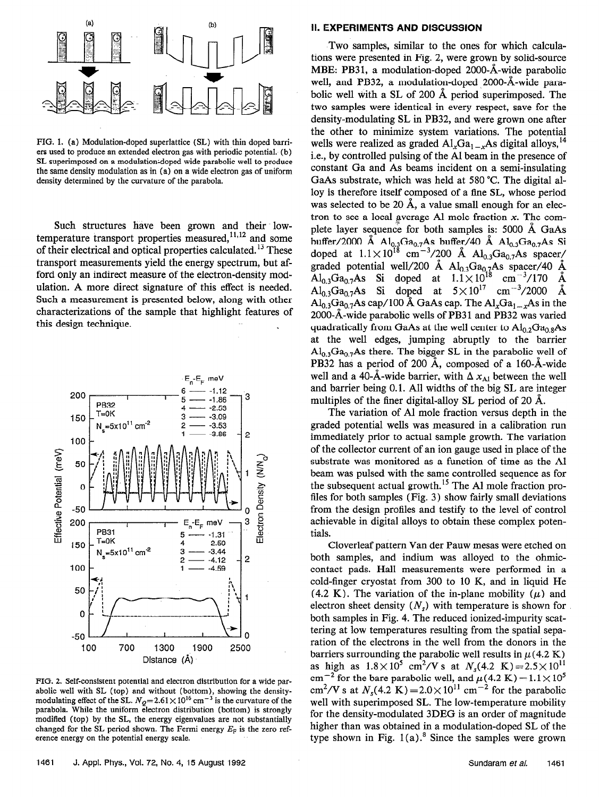

FIG. 1. (a) Modulation-doped superlattice (SL) with thin doped barriers used to produce an extended electron gas with periodic potential. (b) SL superimposed on a modulation-doped wide parabolic well to produce the same density modulation as in (a) on a wide electron gas of uniform density determined by the curvature of the parabola.

Such structures have been grown and their lowtemperature transport properties measured,  $11,12$  and some of their electrical and optical properties calculated.<sup>13</sup> These transport measurements yield the energy spectrum, but afford only an indirect measure of the electron-density modulation. A more direct signature of this effect is needed. Such a measurement is presented below, along with other characterizations of the sample that highlight features of this design technique.



FIG. 2. Self-consistent potential and electron distribution for a wide parabolic well with SL (top) and without (bottom), showing the densitymodulating effect of the SL.  $N_Q$ =2.61 × 10<sup>16</sup> cm<sup>-3</sup> is the curvature of the parabola. While the uniform electron distribution (bottom) is strongly modified (top) by the SL, the energy eigenvalues are not substantially changed for the SL period shown. The Fermi energy  $E_F$  is the zero reference energy on the potential energy scale.

#### II. EXPERIMENTS AND DISCUSSiON

Two samples, similar to the ones for which calculations were presented in Fig. 2, were grown by solid-source MBE: PB3 1, a modulation-doped 2000-A-wide parabolic well, and PB32, a modulation-doped 2000-A-wide parabolic well with a SL of 200 A period superimposed. The two samples were identical in every respect, save for the density-modulating SL in PB32, and were grown one after the other to minimize system variations. The potential wells were realized as graded  $AI_xGa_{1-x}As$  digital alloys,<sup>14</sup> i.e., by controlled pulsing of the Al beam in the presence of constant Ga and As beams incident on a semi-insulating GaAs substrate, which was held at 580 "C. The digital alloy is therefore itself composed of a fine SL, whose period was selected to be 20 Å, a value small enough for an electron to see a local average Al mole fraction  $x$ . The complete layer sequence for both samples is: 5000 A GaAs buffer/2000 Å  $Al_{0,3}Ga_{0,7}As$  buffer/40 Å  $Al_{0,3}Ga_{0,7}As$  Si doped at  $1.1 \times 10^{18}$  cm<sup>-3</sup>/200 Å Al<sub>0.3</sub>Ga<sub>0.7</sub>As spacer/ graded potential well/200 Å  $Al_{0.3}Ga_{0.7}As$  spacer/40 Å  $\text{Al}_{0,3}\text{Ga}_{0,7}\text{As}$  Si doped at  $1.1 \times 10^{18}$  cm<sup>-3</sup>/170 Å Al<sub>0.3</sub>Ga<sub>0.7</sub>As Si doped at  $5 \times 10^{17}$  cm<sup>-3</sup>/2000 Å A $\int_{0.3}Ga_{0.7}As$  cap/100 Å GaAs cap. The Al<sub>x</sub>Ga<sub>1-x</sub>As in the 2000-Å-wide parabolic wells of PB31 and PB32 was varied quadratically from GaAs at the well center to  $Al_{0.2}Ga_{0.8}As$ at the well edges, jumping abruptly to the barrier  $\text{Al}_{0,3}\text{Ga}_{0,7}\text{As}$  there. The bigger SL in the parabolic well of PB32 has a period of 200 A, composed of a 160-A-wide well and a 40-Å-wide barrier, with  $\Delta x_{\text{Al}}$  between the well and barrier being 0.1. All widths of the big SL are integer multiples of the finer digital-alloy SL period of 20 A.

The variation of Al mole fraction versus depth in the graded potential wells was measured in a calibration run immediately prior to actual sample growth. The variation of the collector current of an ion gauge used in place of the substrate was monitored as a function of time as the Al beam was pulsed with the same controlled sequence as for the subsequent actual growth.<sup>15</sup> The Al mole fraction profiles for both samples (Fig. 3) show fairly small deviations from the design profiles and testify to the level of control achievable in digital alloys to obtain these complex potentials.

Cloverleaf pattern Van der Pauw mesas were etched on both samples, and indium was alloyed to the ohmiccontact pads. Hall measurements were performed in a cold-finger cryostat from 300 to 10 K, and in liquid He (4.2 K). The variation of the in-plane mobility ( $\mu$ ) and electron sheet density  $(N<sub>s</sub>)$  with temperature is shown for both samples in Fig. 4. The reduced ionized-impurity scattering at low temperatures resulting from the spatial separation of the electrons in the well from the donors in the barriers surrounding the parabolic well results in  $\mu$  (4.2 K) as high as  $1.8 \times 10^5$  cm<sup>2</sup>/V s at  $N_s(4.2 \text{ K}) = 2.5 \times 10^{11}$ cm<sup>-2</sup> for the bare parabolic well, and  $\mu$ (4.2 K) = 1.1 × 10<sup>5</sup> cm<sup>2</sup>/V s at  $N_1(4.2 \text{ K}) = 2.0 \times 10^{11} \text{ cm}^{-2}$  for the parabolic well with superimposed SL. The low-temperature mobility for the density-modulated 3DEG is an order of magnitude higher than was obtained in a modulation-doped SL of the type shown in Fig.  $1(a)$ .<sup>8</sup> Since the samples were grown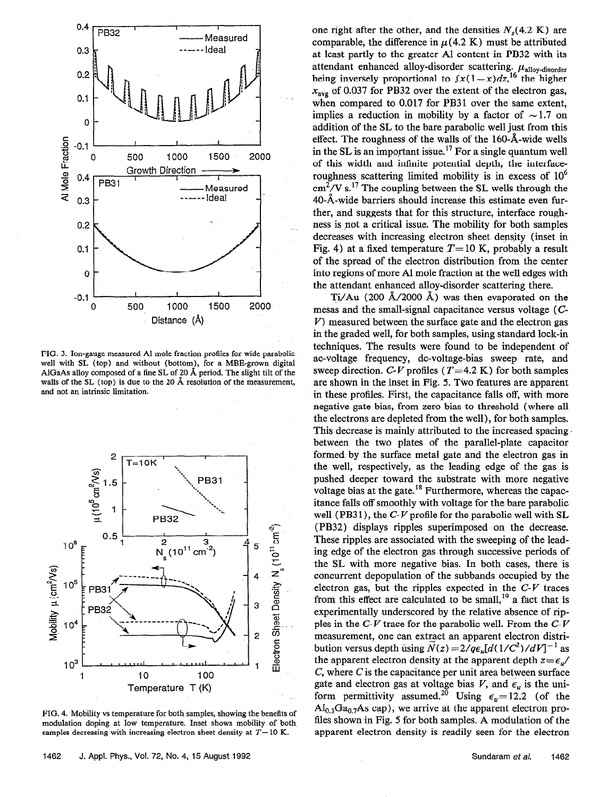

FIG. 3. Ion-gauge measured Al mole fraction profiles for wide parabolic well with SL (top) and without (bottom), for a MBE-grown digital AlGaAs alloy composed of a fine SL of 20  $\AA$  period. The slight tilt of the walls of the SL (top) is due to the 20 Å resolution of the measurement, and not an intrinsic limitation.



FIG. 4. Mobility vs temperature for both samples, showing the benefits of modulation doping at low temperature. Inset shows mobility of both samples decreasing with increasing electron sheet density at  $T=10$  K.

one right after the other, and the densities  $N<sub>s</sub>(4.2 K)$  are comparable, the difference in  $\mu$ (4.2 K) must be attributed at least partly to the greater Al content in PB32 with its attendant enhanced alloy-disorder scattering.  $\mu_{\text{alloy-disorder}}$ being inversely proportional to  $f(x(1-x)dz)^{16}$  the higher  $x_{\text{avg}}$  of 0.037 for PB32 over the extent of the electron gas, when compared to 0.017 for PB31 over the same extent, implies a reduction in mobility by a factor of  $\sim$  1.7 on addition of the SL to the bare parabolic well just from this effect. The roughness of the walls of the 160-A-wide wells in the SL is an important issue.<sup>17</sup> For a single quantum well of this width and infinite potential depth, the interfaceroughness scattering limited mobility is in excess of  $10^6$  $\text{cm}^2$ /V s.<sup>17</sup> The coupling between the SL wells through the 40-A-wide barriers should increase this estimate even further, and suggests that for this structure, interface roughness is pot a critical issue. The mobility for both samples decreases with increasing electron sheet density (inset in Fig. 4) at a fixed temperature  $T=10$  K, probably a result of the spread of the electron distribution from the center into regions of more Al mole fraction at the well edges with the attendant enhanced alloy-disorder scattering there.

Ti/Au (200  $\AA$ /2000  $\AA$ ) was then evaporated on the mesas and the small-signal capacitance versus voltage (C  $V$ ) measured between the surface gate and the electron gas in the graded well, for both samples, using standard lock-in techniques. The results were found to be independent of ac-voltage frequency, dc-voltage-bias sweep rate, and sweep direction. C-V profiles  $(T=4.2 \text{ K})$  for both samples are shown in the inset in Fig. 5. Two features are apparent in these profiles. First, the capacitance falls off, with more negative gate bias, from zero bias to threshold (where all the electrons are depleted from the well), for both samples. This decrease is mainly attributed to the increased spacing between the two plates of the parallel-plate capacitor formed by the surface metal gate and the electron gas in the well, respectively, as the leading edge of the gas is pushed deeper toward the substrate with more negative voltage bias at the gate.<sup>18</sup> Furthermore, whereas the capacitance falls off smoothly with voltage for the bare parabolic well (PB31), the  $C-V$  profile for the parabolic well with SL (PB32) displays ripples superimposed on the decrease. These ripples are associated with the sweeping of the leading edge of the electron gas through successive periods of the SL with more negative bias. In both cases, there is concurrent depopulation of the subbands occupied by the electron gas, but the ripples expected in the  $C-V$  traces from this effect are calculated to be small,  $19$  a fact that is experimentally underscored by the relative absence of ripples in the  $C-V$  trace for the parabolic well. From the  $C-V$ measurement, one can extract an apparent electron distribution versus depth using  $N(z) = 2/q\epsilon_u[d(1/C^2)/dV]^{-1}$  as the apparent electron density at the apparent depth  $z = \epsilon_u/$ C, where C is the capacitance per unit area between surface gate and electron gas at voltage bias V, and  $\epsilon_n$  is the uniform permittivity assumed.<sup>20</sup> Using  $\epsilon_{u}=12.2$  (of the  $\text{Al}_{0,3}\text{Ga}_{0,7}\text{As cap}$ ; we arrive at the apparent electron profiles shown in Fig. 5 for both samples. A modulation of the apparent electron density is readily seen for the electron